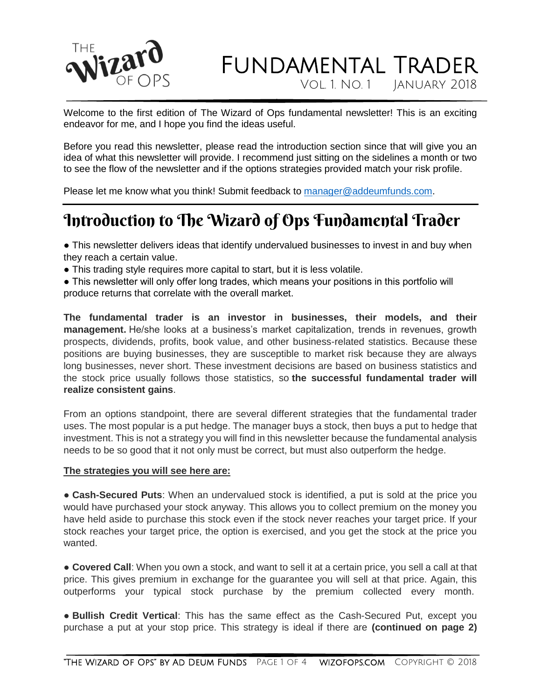

Vol. 1. No. 1 January 2018

Welcome to the first edition of The Wizard of Ops fundamental newsletter! This is an exciting endeavor for me, and I hope you find the ideas useful.

Before you read this newsletter, please read the introduction section since that will give you an idea of what this newsletter will provide. I recommend just sitting on the sidelines a month or two to see the flow of the newsletter and if the options strategies provided match your risk profile.

Please let me know what you think! Submit feedback to [manager@addeumfunds.com.](mailto:manager@addeumfunds.com)

## Introduction to The Wizard of Ops Fundamental Trader

• This newsletter delivers ideas that identify undervalued businesses to invest in and buy when they reach a certain value.

• This trading style requires more capital to start, but it is less volatile.

• This newsletter will only offer long trades, which means your positions in this portfolio will produce returns that correlate with the overall market.

**The fundamental trader is an investor in businesses, their models, and their management.** He/she looks at a business's market capitalization, trends in revenues, growth prospects, dividends, profits, book value, and other business-related statistics. Because these positions are buying businesses, they are susceptible to market risk because they are always long businesses, never short. These investment decisions are based on business statistics and the stock price usually follows those statistics, so **the successful fundamental trader will realize consistent gains**.

From an options standpoint, there are several different strategies that the fundamental trader uses. The most popular is a put hedge. The manager buys a stock, then buys a put to hedge that investment. This is not a strategy you will find in this newsletter because the fundamental analysis needs to be so good that it not only must be correct, but must also outperform the hedge.

#### **The strategies you will see here are:**

● **Cash-Secured Puts**: When an undervalued stock is identified, a put is sold at the price you would have purchased your stock anyway. This allows you to collect premium on the money you have held aside to purchase this stock even if the stock never reaches your target price. If your stock reaches your target price, the option is exercised, and you get the stock at the price you wanted.

● **Covered Call**: When you own a stock, and want to sell it at a certain price, you sell a call at that price. This gives premium in exchange for the guarantee you will sell at that price. Again, this outperforms your typical stock purchase by the premium collected every month.

● **Bullish Credit Vertical**: This has the same effect as the Cash-Secured Put, except you purchase a put at your stop price. This strategy is ideal if there are **(continued on page 2)**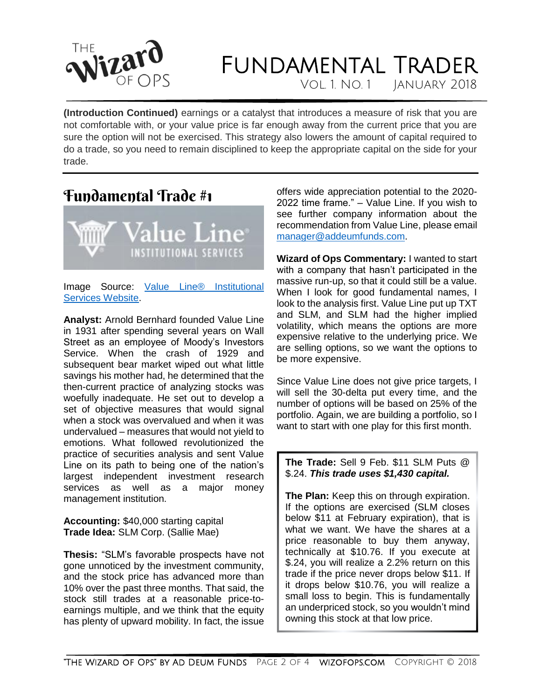

Vol. 1. No. 1 January 2018

**(Introduction Continued)** earnings or a catalyst that introduces a measure of risk that you are not comfortable with, or your value price is far enough away from the current price that you are sure the option will not be exercised. This strategy also lowers the amount of capital required to do a trade, so you need to remain disciplined to keep the appropriate capital on the side for your trade.

### Fundamental Trade #1



Image Source: [Value Line® Institutional](https://www.valuelinepro.com/)  [Services Website.](https://www.valuelinepro.com/)

**Analyst:** Arnold Bernhard founded Value Line in 1931 after spending several years on Wall Street as an employee of Moody's Investors Service. When the crash of 1929 and subsequent bear market wiped out what little savings his mother had, he determined that the then-current practice of analyzing stocks was woefully inadequate. He set out to develop a set of objective measures that would signal when a stock was overvalued and when it was undervalued – measures that would not yield to emotions. What followed revolutionized the practice of securities analysis and sent Value Line on its path to being one of the nation's largest independent investment research services as well as a major money management institution.

**Accounting:** \$40,000 starting capital **Trade Idea:** SLM Corp. (Sallie Mae)

**Thesis:** "SLM's favorable prospects have not gone unnoticed by the investment community, and the stock price has advanced more than 10% over the past three months. That said, the stock still trades at a reasonable price-toearnings multiple, and we think that the equity has plenty of upward mobility. In fact, the issue

offers wide appreciation potential to the 2020- 2022 time frame." – Value Line. If you wish to see further company information about the recommendation from Value Line, please email [manager@addeumfunds.com.](mailto:manager@addeumfunds.com)

**Wizard of Ops Commentary:** I wanted to start with a company that hasn't participated in the massive run-up, so that it could still be a value. When I look for good fundamental names, I look to the analysis first. Value Line put up TXT and SLM, and SLM had the higher implied volatility, which means the options are more expensive relative to the underlying price. We are selling options, so we want the options to be more expensive.

Since Value Line does not give price targets, I will sell the 30-delta put every time, and the number of options will be based on 25% of the portfolio. Again, we are building a portfolio, so I want to start with one play for this first month.

### **The Trade:** Sell 9 Feb. \$11 SLM Puts @ \$.24. *This trade uses \$1,430 capital.*

**The Plan:** Keep this on through expiration. If the options are exercised (SLM closes below \$11 at February expiration), that is what we want. We have the shares at a price reasonable to buy them anyway, technically at \$10.76. If you execute at \$.24, you will realize a 2.2% return on this trade if the price never drops below \$11. If it drops below \$10.76, you will realize a small loss to begin. This is fundamentally an underpriced stock, so you wouldn't mind owning this stock at that low price.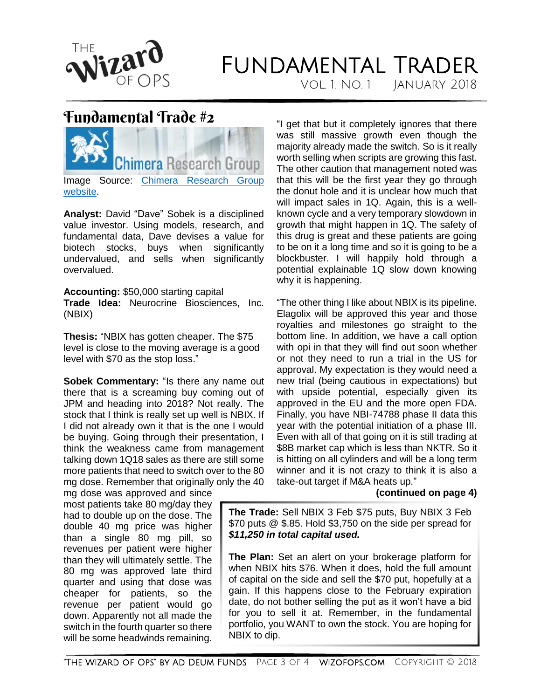

Vol. 1. No. 1 January 2018

### Fundamental Trade #2



**Analyst:** David "Dave" Sobek is a disciplined value investor. Using models, research, and fundamental data, Dave devises a value for biotech stocks, buys when significantly undervalued, and sells when significantly overvalued.

**Accounting:** \$50,000 starting capital **Trade Idea:** Neurocrine Biosciences, Inc. (NBIX)

**Thesis:** "NBIX has gotten cheaper. The \$75 level is close to the moving average is a good level with \$70 as the stop loss."

**Sobek Commentary:** "Is there any name out there that is a screaming buy coming out of JPM and heading into 2018? Not really. The stock that I think is really set up well is NBIX. If I did not already own it that is the one I would be buying. Going through their presentation, I think the weakness came from management talking down 1Q18 sales as there are still some more patients that need to switch over to the 80 mg dose. Remember that originally only the 40

mg dose was approved and since most patients take 80 mg/day they had to double up on the dose. The double 40 mg price was higher than a single 80 mg pill, so revenues per patient were higher than they will ultimately settle. The 80 mg was approved late third quarter and using that dose was cheaper for patients, so the revenue per patient would go down. Apparently not all made the switch in the fourth quarter so there will be some headwinds remaining.

"I get that but it completely ignores that there was still massive growth even though the majority already made the switch. So is it really worth selling when scripts are growing this fast. The other caution that management noted was that this will be the first year they go through the donut hole and it is unclear how much that will impact sales in 1Q. Again, this is a wellknown cycle and a very temporary slowdown in growth that might happen in 1Q. The safety of this drug is great and these patients are going to be on it a long time and so it is going to be a blockbuster. I will happily hold through a potential explainable 1Q slow down knowing why it is happening.

"The other thing I like about NBIX is its pipeline. Elagolix will be approved this year and those royalties and milestones go straight to the bottom line. In addition, we have a call option with opi in that they will find out soon whether or not they need to run a trial in the US for approval. My expectation is they would need a new trial (being cautious in expectations) but with upside potential, especially given its approved in the EU and the more open FDA. Finally, you have NBI-74788 phase II data this year with the potential initiation of a phase III. Even with all of that going on it is still trading at \$8B market cap which is less than NKTR. So it is hitting on all cylinders and will be a long term winner and it is not crazy to think it is also a take-out target if M&A heats up."

### **(continued on page 4)**

**The Trade:** Sell NBIX 3 Feb \$75 puts, Buy NBIX 3 Feb \$70 puts @ \$.85. Hold \$3,750 on the side per spread for *\$11,250 in total capital used.*

**The Plan:** Set an alert on your brokerage platform for when NBIX hits \$76. When it does, hold the full amount of capital on the side and sell the \$70 put, hopefully at a gain. If this happens close to the February expiration date, do not bother selling the put as it won't have a bid for you to sell it at. Remember, in the fundamental portfolio, you WANT to own the stock. You are hoping for NBIX to dip.